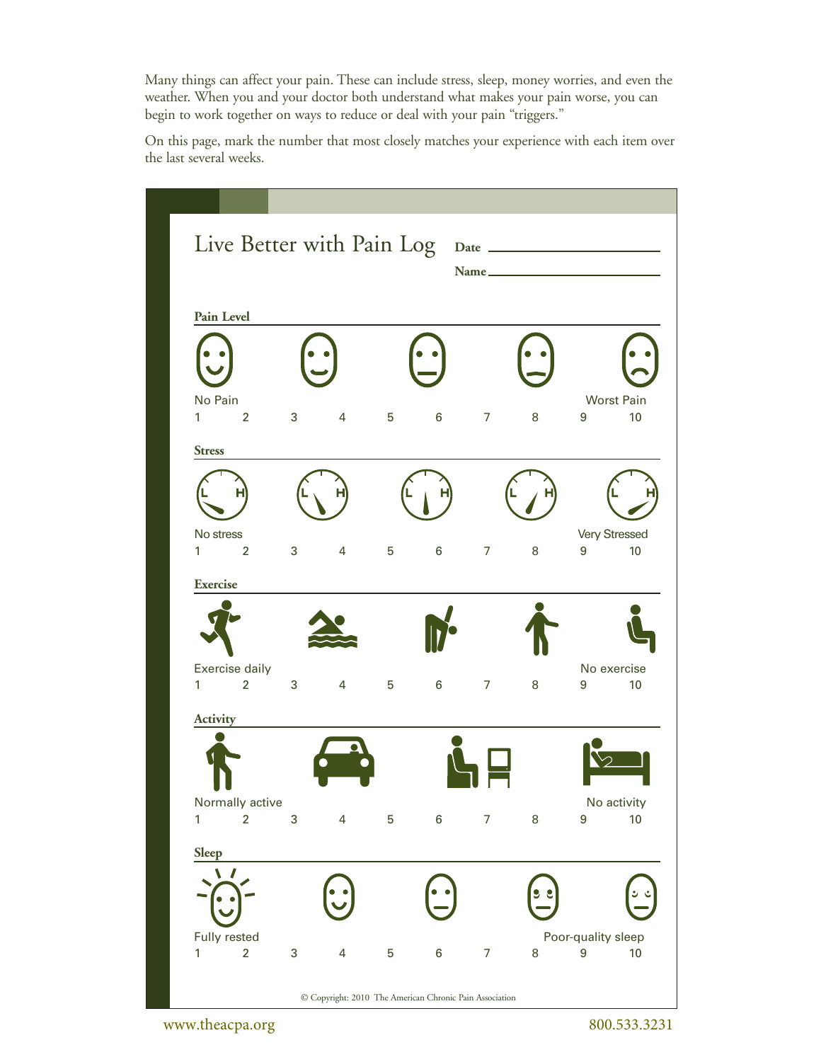Many things can affect your pain. These can include stress, sleep, money worries, and even the weather. When you and your doctor both understand what makes your pain worse, you can begin to work together on ways to reduce or deal with your pain "triggers."

On this page, mark the number that most closely matches your experience with each item over the last several weeks.

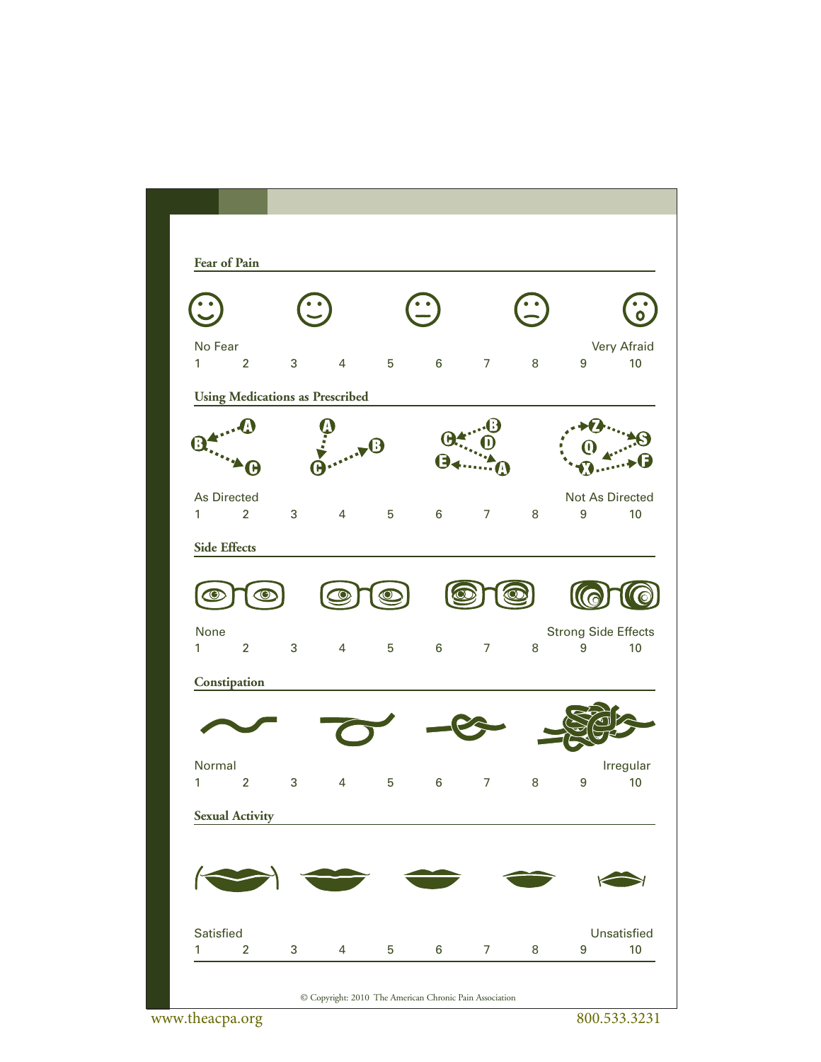